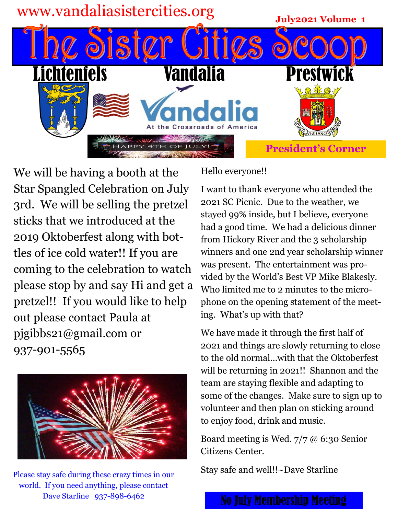

We will be having a booth at the Star Spangled Celebration on July 3rd. We will be selling the pretzel sticks that we introduced at the 2019 Oktoberfest along with bottles of ice cold water!! If you are coming to the celebration to watch please stop by and say Hi and get a pretzel!! If you would like to help out please contact Paula at pjgibbs21@gmail.com or 937-901-5565



Please stay safe during these crazy times in our world. If you need anything, please contact Dave Starline 937-898-6462

Hello everyone!!

I want to thank everyone who attended the 2021 SC Picnic. Due to the weather, we stayed 99% inside, but I believe, everyone had a good time. We had a delicious dinner from Hickory River and the 3 scholarship winners and one 2nd year scholarship winner was present. The entertainment was provided by the World's Best VP Mike Blakesly. Who limited me to 2 minutes to the microphone on the opening statement of the meeting. What's up with that?

We have made it through the first half of 2021 and things are slowly returning to close to the old normal...with that the Oktoberfest will be returning in 2021!! Shannon and the team are staying flexible and adapting to some of the changes. Make sure to sign up to volunteer and then plan on sticking around to enjoy food, drink and music.

Board meeting is Wed. 7/7 @ 6:30 Senior Citizens Center.

Stay safe and well!!~Dave Starline

No July Membership Meeting